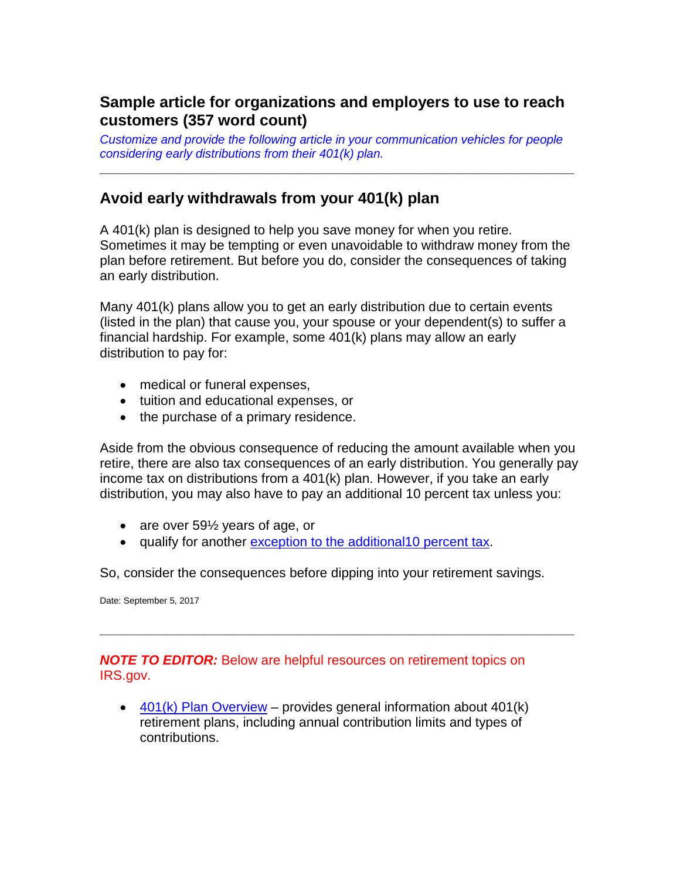## **Sample article for organizations and employers to use to reach customers (357 word count)**

*Customize and provide the following article in your communication vehicles for people considering early distributions from their 401(k) plan.*

**\_\_\_\_\_\_\_\_\_\_\_\_\_\_\_\_\_\_\_\_\_\_\_\_\_\_\_\_\_\_\_\_\_\_\_\_\_\_\_\_\_\_\_\_\_\_\_\_\_\_\_\_\_\_\_\_\_\_\_\_\_\_\_\_**

## **Avoid early withdrawals from your 401(k) plan**

A 401(k) plan is designed to help you save money for when you retire. Sometimes it may be tempting or even unavoidable to withdraw money from the plan before retirement. But before you do, consider the consequences of taking an early distribution.

Many 401(k) plans allow you to get an early distribution due to certain events (listed in the plan) that cause you, your spouse or your dependent(s) to suffer a financial hardship. For example, some 401(k) plans may allow an early distribution to pay for:

- medical or funeral expenses,
- tuition and educational expenses, or
- the purchase of a primary residence.

Aside from the obvious consequence of reducing the amount available when you retire, there are also tax consequences of an early distribution. You generally pay income tax on distributions from a 401(k) plan. However, if you take an early distribution, you may also have to pay an additional 10 percent tax unless you:

- are over 59<sup>1/2</sup> years of age, or
- qualify for another [exception to the additional10 percent tax.](https://www.irs.gov/retirement-plans/plan-participant-employee/retirement-topics-tax-on-early-distributions)

So, consider the consequences before dipping into your retirement savings.

**\_\_\_\_\_\_\_\_\_\_\_\_\_\_\_\_\_\_\_\_\_\_\_\_\_\_\_\_\_\_\_\_\_\_\_\_\_\_\_\_\_\_\_\_\_\_\_\_\_\_\_\_\_\_\_\_\_\_\_\_\_\_\_\_**

Date: September 5, 2017

## *NOTE TO EDITOR:* Below are helpful resources on retirement topics on IRS.gov.

 $\bullet$  [401\(k\) Plan Overview](https://www.irs.gov/retirement-plans/plan-participant-employee/401k-resource-guide-plan-participants-401k-plan-overview) – provides general information about 401(k) retirement plans, including annual contribution limits and types of contributions.